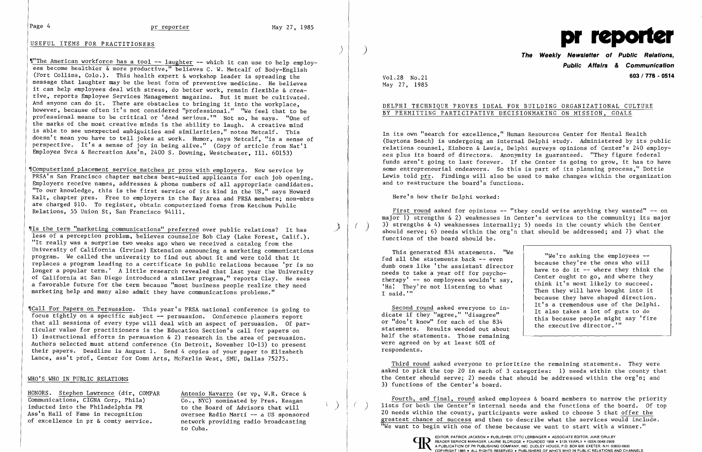### USEFUL ITEMS FOR PRACTITIONERS

)

"The American workforce has a tool -- laughter -- which it can use to help employees become healthier & more productive," believes C. W. Metcalf of Body-English (Fort Collins, Colo.). This health expert & workshop leader is spreading the message that laughter may be the best form of preventive medicine. He believes it can help employees deal with stress, do better work, remain flexible & creative, reports Employee Services Management magazine. But it must be cultivated. And anyone can do it. There are obstacles to bringing it into the workplace, however, because often it's not considered "professional." "We feel that to be professional means to be critical or 'dead serious.'" Not so. he says. "One of the marks of the most creative minds is the ability to laugh. A creative mind is able to see unexpected ambiguities and similarities." notes Metcalf. This doesn't mean you have to tell jokes at work. Humor, says Metcalf, "is a sense of perspective. It's a sense of joy in being alive." (Copy of article from Nat'l Employee Svcs & Recreation Ass'n. 2400 S. Downing. Westchester. Ill. 60153)

"Is the term "marketing communications" preferred over public relations? It has less of a perception problem, believes counselor Bob Clay (Lake Forest, Calif.). "It really was a surprise two weeks ago when we received a catalog from the University of California (Irvine) Extension announcing a marketing communications program. We called the university to find out about it and were told that it replaces a program leading to a certificate in public relations because 'pr is no longer a popular term.' A little research revealed that last year the University of California at San Diego introduced a similar program," reports Clay. He sees a favorable future for the term because "most business people realize they need marketing help and many also admit they have communications problems."

"Call For Papers on Persuasion. This year's PRSA national conference is going to focus tightly on a specific subject -- persuasion. Conference planners report that all sessions of every type will deal with an aspect of persuasion. Of particular value for practitioners is the Education Section's call for papers on 1) instructional efforts in persuasion & 2) research in the area of persuasion. Authors selected must attend conference (in Detroit, November 10-13) to present their papers. Deadline is August 1. Send 4 copies of your paper to Elizabeth Lance, ass't prof, Center for Comn Arts, McFarlin West, SMU, Dallas 75275.

~IComputerized placement service matches pr pros with employers. New service by PRSA's San Francisco chapter matches best-suited applicants for each job opening. Employers receive names. addresses & phone numbers of all appropriate candidates. "To our knowledge. this is the first service of its kind in the US." says Howard Kalt, chapter pres. Free to employers in the Bay Area and PRSA members; non-mbrs are charged \$10. To register, obtain computerized forms from Ketchum Public Relations, 55 Union St. San Francisco 94111.

First round asked for opinions  $-$  "they could write anything they wanted"  $-$  on major 1) strengths & 2) weaknesses in Center's services to the community; its major 3) strengths  $\& 4$ ) weaknesses internally; 5) needs in the county which the Center should serve; 6) needs within the org'n that should be addressed; and 7) what the functions of the board should be.

### WHO'S WHO IN PUBLIC RELATIONS

Fourth, and final, round asked employees  $\&$  board members to narrow the priority lists for both the Center's internal needs and the functions of the board. Of top 20 needs within the county, participants were asked to choose 5 that offer the greatest chance of success and then to describe what the services would include. "We want to begin with one of these because we want to start with a winner."

HONORS. Stephen Lawrence (dir, COMPAR Communications, CIGNA Corp, Phila) inducted into the Philadelphia PR Ass'n Hall of Fame in recognition of excellence in pr & comty service.

Antonio Navarro (sr vp. W.R. Grace & Co., NYC) nominated by Pres. Reagan to the Board of Advisors that will ) oversee Radio Marti -- a US sponsored network providing radio broadcasting to Cuba.



**Public Affairs & Communication**  Vol. **603/778 - 0514** 28 No.21

May 27, 1985

## DELPHI TECHNIQUE PROVES IDEAL FOR BUILDING ORGANIZATIONAL CULTURE BY PERMITTING PARTICIPATIVE DECISIONMAKING ON MISSION, GOALS

In its own "search for excellence," Human Resources Center for Mental Health (Daytona Beach) is undergoing an internal Delphi study. Administered by its public relations counsel, Einhorn & Lewis, Delphi surveys opinions of Center's 240 employees plus its board of directors. Anonymity is guaranteed. "They figure federal funds aren't going to last forever. If the Center is going to grow, it has to have some entrepreneurial endeavors. So this is part of its planning process," Dottie Lewis told prr. Findings will also be used to make changes within the organization and to restructure the board's functions.

Here's how their Delphi worked:

This generated 834 statements. "We fed all the statements back -- even dumb ones like 'the assistant director needs to take a year off for psychotherapy'  $--$  so employees wouldn't say, 'Ha! They're not listening to what I said. "'

Second round asked everyone to indicate if they "agree," "disagree" or "don't know" for each of the 834 statements. Results weeded out about half the statements. Those remaining were agreed on by at least 60% of respondents.

"We're asking the employees because they're the ones who will have to do it  $-$  where they think the Center ought to go, and where they think it's most likely to succeed. Then they will have bought into it because they have shaped direction. It's a tremendous use of the Delphi. It also takes a lot of guts to do this because people might say 'fire the executive director.'"

Third round asked everyone to prioritize the remaining statements. They were asked to pick the top 20 in each of 3 categories: 1) needs within the county that the Center should serve; 2) needs that should be addressed within the org'n; and 3) functions of the Center's board.